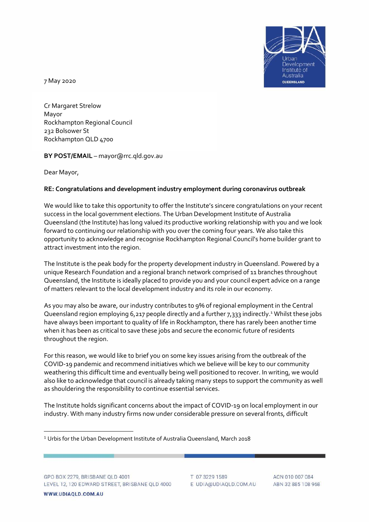

7 May 2020

Cr Margaret Strelow Mayor Rockhampton Regional Council 232 Bolsower St Rockhampton QLD 4700

**BY POST/EMAIL** – mayor@rrc.qld.gov.au

Dear Mayor,

# **RE: Congratulations and development industry employment during coronavirus outbreak**

We would like to take this opportunity to offer the Institute's sincere congratulations on your recent success in the local government elections. The Urban Development Institute of Australia Queensland (the Institute) has long valued its productive working relationship with you and we look forward to continuing our relationship with you over the coming four years. We also take this opportunity to acknowledge and recognise Rockhampton Regional Council's home builder grant to attract investment into the region.

The Institute is the peak body for the property development industry in Queensland. Powered by a unique Research Foundation and a regional branch network comprised of 11 branches throughout Queensland, the Institute is ideally placed to provide you and your council expert advice on a range of matters relevant to the local development industry and its role in our economy.

As you may also be aware, our industry contributes to 9% of regional employment in the Central Queensland region employing 6,217 people directly and a further 7,333 indirectly.<sup>1</sup> Whilst these jobs have always been important to quality of life in Rockhampton, there has rarely been another time when it has been as critical to save these jobs and secure the economic future of residents throughout the region.

For this reason, we would like to brief you on some key issues arising from the outbreak of the COVID-19 pandemic and recommend initiatives which we believe will be key to our community weathering this difficult time and eventually being well positioned to recover. In writing, we would also like to acknowledge that council is already taking many steps to support the community as well as shouldering the responsibility to continue essential services.

The Institute holds significant concerns about the impact of COVID-19 on local employment in our industry. With many industry firms now under considerable pressure on several fronts, difficult

T 07 3229 1589 E UDIA@UDIAQLD.COM.AU

ACN 010 007 084 ABN 32 885 108 968

<sup>1</sup> Urbis for the Urban Development Institute of Australia Queensland, March 2018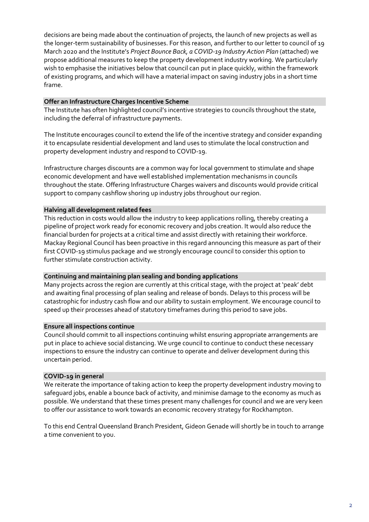decisions are being made about the continuation of projects, the launch of new projects as well as the longer-term sustainability of businesses. For this reason, and further to our letter to council of 19 March 2020 and the Institute's *Project Bounce Back, a COVID-19 Industry Action Plan* (attached) we propose additional measures to keep the property development industry working. We particularly wish to emphasise the initiatives below that council can put in place quickly, within the framework of existing programs, and which will have a material impact on saving industry jobs in a short time frame.

### **Offer an Infrastructure Charges Incentive Scheme**

The Institute has often highlighted council's incentive strategies to councils throughout the state, including the deferral of infrastructure payments.

The Institute encourages council to extend the life of the incentive strategy and consider expanding it to encapsulate residential development and land uses to stimulate the local construction and property development industry and respond to COVID-19.

Infrastructure charges discounts are a common way for local government to stimulate and shape economic development and have well established implementation mechanisms in councils throughout the state. Offering Infrastructure Charges waivers and discounts would provide critical support to company cashflow shoring up industry jobs throughout our region.

## **Halving all development related fees**

This reduction in costs would allow the industry to keep applications rolling, thereby creating a pipeline of project work ready for economic recovery and jobs creation. It would also reduce the financial burden for projects at a critical time and assist directly with retaining their workforce. Mackay Regional Council has been proactive in this regard announcing this measure as part of their first COVID-19 stimulus package and we strongly encourage council to consider this option to further stimulate construction activity.

#### **Continuing and maintaining plan sealing and bonding applications**

Many projects across the region are currently at this critical stage, with the project at 'peak' debt and awaiting final processing of plan sealing and release of bonds. Delays to this process will be catastrophic for industry cash flow and our ability to sustain employment. We encourage council to speed up their processes ahead of statutory timeframes during this period to save jobs.

#### **Ensure all inspections continue**

Council should commit to all inspections continuing whilst ensuring appropriate arrangements are put in place to achieve social distancing. We urge council to continue to conduct these necessary inspections to ensure the industry can continue to operate and deliver development during this uncertain period.

## **COVID-19 in general**

We reiterate the importance of taking action to keep the property development industry moving to safeguard jobs, enable a bounce back of activity, and minimise damage to the economy as much as possible. We understand that these times present many challenges for council and we are very keen to offer our assistance to work towards an economic recovery strategy for Rockhampton.

To this end Central Queensland Branch President, Gideon Genade will shortly be in touch to arrange a time convenient to you.